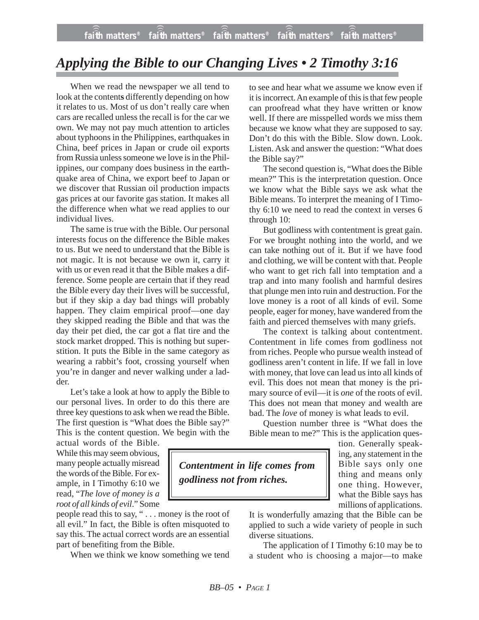## *Applying the Bible to our Changing Lives • 2 Timothy 3:16*

When we read the newspaper we all tend to look at the content**s** differently depending on how it relates to us. Most of us don't really care when cars are recalled unless the recall is for the car we own. We may not pay much attention to articles about typhoons in the Philippines, earthquakes in China, beef prices in Japan or crude oil exports from Russia unless someone we love is in the Philippines, our company does business in the earthquake area of China, we export beef to Japan or we discover that Russian oil production impacts gas prices at our favorite gas station. It makes all the difference when what we read applies to our individual lives.

The same is true with the Bible. Our personal interests focus on the difference the Bible makes to us. But we need to understand that the Bible is not magic. It is not because we own it, carry it with us or even read it that the Bible makes a difference. Some people are certain that if they read the Bible every day their lives will be successful, but if they skip a day bad things will probably happen. They claim empirical proof—one day they skipped reading the Bible and that was the day their pet died, the car got a flat tire and the stock market dropped. This is nothing but superstition. It puts the Bible in the same category as wearing a rabbit's foot, crossing yourself when you're in danger and never walking under a ladder.

Let's take a look at how to apply the Bible to our personal lives. In order to do this there are three key questions to ask when we read the Bible. The first question is "What does the Bible say?" This is the content question. We begin with the

actual words of the Bible. While this may seem obvious, many people actually misread the words of the Bible. For example, in I Timothy 6:10 we read, "*The love of money is a root of all kinds of evil*." Some

people read this to say, " . . . money is the root of all evil." In fact, the Bible is often misquoted to say this. The actual correct words are an essential part of benefiting from the Bible.

When we think we know something we tend

to see and hear what we assume we know even if it is incorrect. An example of this is that few people can proofread what they have written or know well. If there are misspelled words we miss them because we know what they are supposed to say. Don't do this with the Bible. Slow down. Look. Listen. Ask and answer the question: "What does the Bible say?"

The second question is, "What does the Bible mean?" This is the interpretation question. Once we know what the Bible says we ask what the Bible means. To interpret the meaning of I Timothy 6:10 we need to read the context in verses 6 through 10:

But godliness with contentment is great gain. For we brought nothing into the world, and we can take nothing out of it. But if we have food and clothing, we will be content with that. People who want to get rich fall into temptation and a trap and into many foolish and harmful desires that plunge men into ruin and destruction. For the love money is a root of all kinds of evil. Some people, eager for money, have wandered from the faith and pierced themselves with many griefs.

The context is talking about contentment. Contentment in life comes from godliness not from riches. People who pursue wealth instead of godliness aren't content in life. If we fall in love with money, that love can lead us into all kinds of evil. This does not mean that money is the primary source of evil—it is *one* of the roots of evil. This does not mean that money and wealth are bad. The *love* of money is what leads to evil.

Question number three is "What does the Bible mean to me?" This is the application ques-

> tion. Generally speaking, any statement in the Bible says only one thing and means only one thing. However, what the Bible says has millions of applications.

It is wonderfully amazing that the Bible can be applied to such a wide variety of people in such diverse situations.

The application of I Timothy 6:10 may be to a student who is choosing a major—to make

*Contentment in life comes from godliness not from riches.*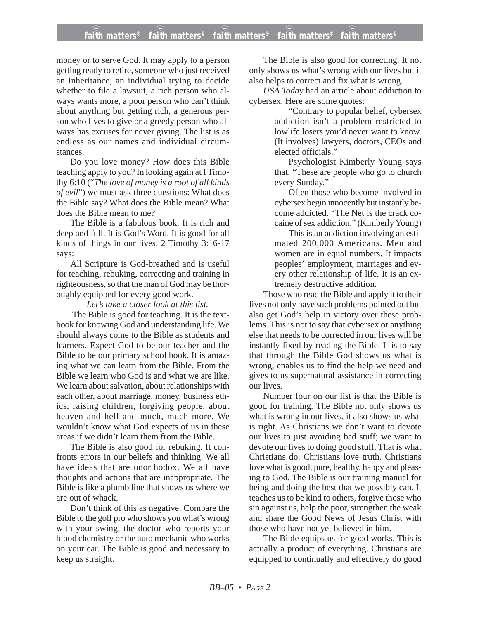## **faith matters® faith matters® faith matters® faith matters® faith matters®** ))) ))) ))) ))) faith matters<sup>®</sup> faith matters<sup>®</sup>

money or to serve God. It may apply to a person getting ready to retire, someone who just received an inheritance, an individual trying to decide whether to file a lawsuit, a rich person who always wants more, a poor person who can't think about anything but getting rich, a generous person who lives to give or a greedy person who always has excuses for never giving. The list is as endless as our names and individual circumstances.

Do you love money? How does this Bible teaching apply to you? In looking again at I Timothy 6:10 ("*The love of money is a root of all kinds of evil*") we must ask three questions: What does the Bible say? What does the Bible mean? What does the Bible mean to me?

The Bible is a fabulous book. It is rich and deep and full. It is God's Word. It is good for all kinds of things in our lives. 2 Timothy 3:16-17 says:

All Scripture is God-breathed and is useful for teaching, rebuking, correcting and training in righteousness, so that the man of God may be thoroughly equipped for every good work.

*Let's take a closer look at this list.*

The Bible is good for teaching. It is the textbook for knowing God and understanding life. We should always come to the Bible as students and learners. Expect God to be our teacher and the Bible to be our primary school book. It is amazing what we can learn from the Bible. From the Bible we learn who God is and what we are like. We learn about salvation, about relationships with each other, about marriage, money, business ethics, raising children, forgiving people, about heaven and hell and much, much more. We wouldn't know what God expects of us in these areas if we didn't learn them from the Bible.

The Bible is also good for rebuking. It confronts errors in our beliefs and thinking. We all have ideas that are unorthodox. We all have thoughts and actions that are inappropriate. The Bible is like a plumb line that shows us where we are out of whack.

Don't think of this as negative. Compare the Bible to the golf pro who shows you what's wrong with your swing, the doctor who reports your blood chemistry or the auto mechanic who works on your car. The Bible is good and necessary to keep us straight.

The Bible is also good for correcting. It not only shows us what's wrong with our lives but it also helps to correct and fix what is wrong.

*USA Today* had an article about addiction to cybersex. Here are some quotes:

"Contrary to popular belief, cybersex addiction isn't a problem restricted to lowlife losers you'd never want to know. (It involves) lawyers, doctors, CEOs and elected officials."

Psychologist Kimberly Young says that, "These are people who go to church every Sunday."

Often those who become involved in cybersex begin innocently but instantly become addicted. "The Net is the crack cocaine of sex addiction." (Kimberly Young)

This is an addiction involving an estimated 200,000 Americans. Men and women are in equal numbers. It impacts peoples' employment, marriages and every other relationship of life. It is an extremely destructive addition.

Those who read the Bible and apply it to their lives not only have such problems pointed out but also get God's help in victory over these problems. This is not to say that cybersex or anything else that needs to be corrected in our lives will be instantly fixed by reading the Bible. It is to say that through the Bible God shows us what is wrong, enables us to find the help we need and gives to us supernatural assistance in correcting our lives.

Number four on our list is that the Bible is good for training. The Bible not only shows us what is wrong in our lives, it also shows us what is right. As Christians we don't want to devote our lives to just avoiding bad stuff; we want to devote our lives to doing good stuff. That is what Christians do. Christians love truth. Christians love what is good, pure, healthy, happy and pleasing to God. The Bible is our training manual for being and doing the best that we possibly can. It teaches us to be kind to others, forgive those who sin against us, help the poor, strengthen the weak and share the Good News of Jesus Christ with those who have not yet believed in him.

The Bible equips us for good works. This is actually a product of everything. Christians are equipped to continually and effectively do good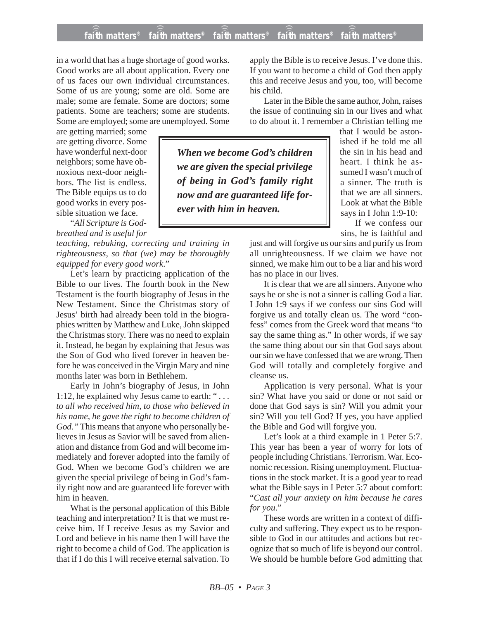## **faith matters® faith matters® faith matters® faith matters® faith matters®** ))) ))) ))) ))) )))

in a world that has a huge shortage of good works. Good works are all about application. Every one of us faces our own individual circumstances. Some of us are young; some are old. Some are male; some are female. Some are doctors; some patients. Some are teachers; some are students. Some are employed; some are unemployed. Some

are getting married; some are getting divorce. Some have wonderful next-door neighbors; some have obnoxious next-door neighbors. The list is endless. The Bible equips us to do good works in every possible situation we face.

"*All Scripture is Godbreathed and is useful for*

*teaching, rebuking, correcting and training in righteousness, so that (we) may be thoroughly equipped for every good work*."

Let's learn by practicing application of the Bible to our lives. The fourth book in the New Testament is the fourth biography of Jesus in the New Testament. Since the Christmas story of Jesus' birth had already been told in the biographies written by Matthew and Luke, John skipped the Christmas story. There was no need to explain it. Instead, he began by explaining that Jesus was the Son of God who lived forever in heaven before he was conceived in the Virgin Mary and nine months later was born in Bethlehem.

Early in John's biography of Jesus, in John 1:12, he explained why Jesus came to earth: " *. . . to all who received him, to those who believed in his name, he gave the right to become children of God."* This means that anyone who personally believes in Jesus as Savior will be saved from alienation and distance from God and will become immediately and forever adopted into the family of God. When we become God's children we are given the special privilege of being in God's family right now and are guaranteed life forever with him in heaven.

What is the personal application of this Bible teaching and interpretation? It is that we must receive him. If I receive Jesus as my Savior and Lord and believe in his name then I will have the right to become a child of God. The application is that if I do this I will receive eternal salvation. To apply the Bible is to receive Jesus. I've done this. If you want to become a child of God then apply this and receive Jesus and you, too, will become his child.

Later in the Bible the same author, John, raises the issue of continuing sin in our lives and what to do about it. I remember a Christian telling me

*When we become God's children we are given the special privilege of being in God's family right now and are guaranteed life forever with him in heaven.*

that I would be astonished if he told me all the sin in his head and heart. I think he assumed I wasn't much of a sinner. The truth is that we are all sinners. Look at what the Bible says in I John 1:9-10:

If we confess our sins, he is faithful and

just and will forgive us our sins and purify us from all unrighteousness. If we claim we have not sinned, we make him out to be a liar and his word has no place in our lives.

It is clear that we are all sinners. Anyone who says he or she is not a sinner is calling God a liar. I John 1:9 says if we confess our sins God will forgive us and totally clean us. The word "confess" comes from the Greek word that means "to say the same thing as." In other words, if we say the same thing about our sin that God says about our sin we have confessed that we are wrong. Then God will totally and completely forgive and cleanse us.

Application is very personal. What is your sin? What have you said or done or not said or done that God says is sin? Will you admit your sin? Will you tell God? If yes, you have applied the Bible and God will forgive you.

Let's look at a third example in 1 Peter 5:7. This year has been a year of worry for lots of people including Christians. Terrorism. War. Economic recession. Rising unemployment. Fluctuations in the stock market. It is a good year to read what the Bible says in I Peter 5:7 about comfort: "*Cast all your anxiety on him because he cares for you*."

These words are written in a context of difficulty and suffering. They expect us to be responsible to God in our attitudes and actions but recognize that so much of life is beyond our control. We should be humble before God admitting that